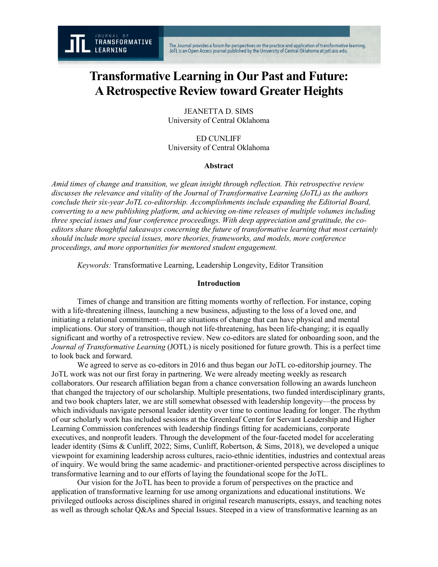# **Transformative Learning in Our Past and Future: A Retrospective Review toward Greater Heights**

JEANETTA D. SIMS University of Central Oklahoma

ED CUNLIFF University of Central Oklahoma

### **Abstract**

*Amid times of change and transition, we glean insight through reflection. This retrospective review discusses the relevance and vitality of the Journal of Transformative Learning (JoTL) as the authors conclude their six-year JoTL co-editorship. Accomplishments include expanding the Editorial Board, converting to a new publishing platform, and achieving on-time releases of multiple volumes including three special issues and four conference proceedings. With deep appreciation and gratitude, the coeditors share thoughtful takeaways concerning the future of transformative learning that most certainly should include more special issues, more theories, frameworks, and models, more conference proceedings, and more opportunities for mentored student engagement.*

*Keywords:* Transformative Learning, Leadership Longevity, Editor Transition

## **Introduction**

Times of change and transition are fitting moments worthy of reflection. For instance, coping with a life-threatening illness, launching a new business, adjusting to the loss of a loved one, and initiating a relational commitment—all are situations of change that can have physical and mental implications. Our story of transition, though not life-threatening, has been life-changing; it is equally significant and worthy of a retrospective review. New co-editors are slated for onboarding soon, and the *Journal of Transformative Learning* (JOTL) is nicely positioned for future growth. This is a perfect time to look back and forward.

We agreed to serve as co-editors in 2016 and thus began our JoTL co-editorship journey. The JoTL work was not our first foray in partnering. We were already meeting weekly as research collaborators. Our research affiliation began from a chance conversation following an awards luncheon that changed the trajectory of our scholarship. Multiple presentations, two funded interdisciplinary grants, and two book chapters later, we are still somewhat obsessed with leadership longevity—the process by which individuals navigate personal leader identity over time to continue leading for longer. The rhythm of our scholarly work has included sessions at the Greenleaf Center for Servant Leadership and Higher Learning Commission conferences with leadership findings fitting for academicians, corporate executives, and nonprofit leaders. Through the development of the four-faceted model for accelerating leader identity (Sims & Cunliff, 2022; Sims, Cunliff, Robertson, & Sims, 2018), we developed a unique viewpoint for examining leadership across cultures, racio-ethnic identities, industries and contextual areas of inquiry. We would bring the same academic- and practitioner-oriented perspective across disciplines to transformative learning and to our efforts of laying the foundational scope for the JoTL.

Our vision for the JoTL has been to provide a forum of perspectives on the practice and application of transformative learning for use among organizations and educational institutions. We privileged outlooks across disciplines shared in original research manuscripts, essays, and teaching notes as well as through scholar Q&As and Special Issues. Steeped in a view of transformative learning as an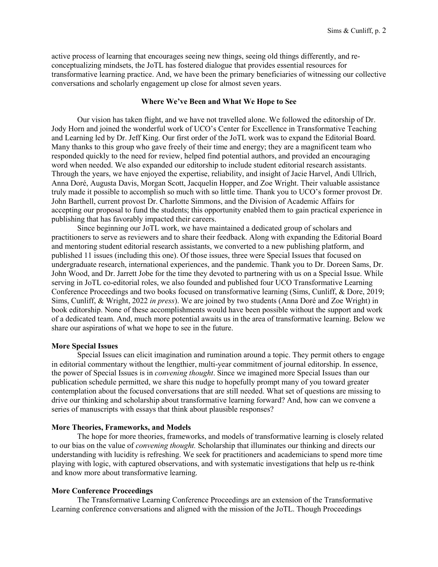active process of learning that encourages seeing new things, seeing old things differently, and reconceptualizing mindsets, the JoTL has fostered dialogue that provides essential resources for transformative learning practice. And, we have been the primary beneficiaries of witnessing our collective conversations and scholarly engagement up close for almost seven years.

#### **Where We've Been and What We Hope to See**

Our vision has taken flight, and we have not travelled alone. We followed the editorship of Dr. Jody Horn and joined the wonderful work of UCO's Center for Excellence in Transformative Teaching and Learning led by Dr. Jeff King. Our first order of the JoTL work was to expand the Editorial Board. Many thanks to this group who gave freely of their time and energy; they are a magnificent team who responded quickly to the need for review, helped find potential authors, and provided an encouraging word when needed. We also expanded our editorship to include student editorial research assistants. Through the years, we have enjoyed the expertise, reliability, and insight of Jacie Harvel, Andi Ullrich, Anna Doré, Augusta Davis, Morgan Scott, Jacquelin Hopper, and Zoe Wright. Their valuable assistance truly made it possible to accomplish so much with so little time. Thank you to UCO's former provost Dr. John Barthell, current provost Dr. Charlotte Simmons, and the Division of Academic Affairs for accepting our proposal to fund the students; this opportunity enabled them to gain practical experience in publishing that has favorably impacted their careers.

Since beginning our JoTL work, we have maintained a dedicated group of scholars and practitioners to serve as reviewers and to share their feedback. Along with expanding the Editorial Board and mentoring student editorial research assistants, we converted to a new publishing platform, and published 11 issues (including this one). Of those issues, three were Special Issues that focused on undergraduate research, international experiences, and the pandemic. Thank you to Dr. Doreen Sams, Dr. John Wood, and Dr. Jarrett Jobe for the time they devoted to partnering with us on a Special Issue. While serving in JoTL co-editorial roles, we also founded and published four UCO Transformative Learning Conference Proceedings and two books focused on transformative learning (Sims, Cunliff, & Dore, 2019; Sims, Cunliff, & Wright, 2022 *in press*). We are joined by two students (Anna Doré and Zoe Wright) in book editorship. None of these accomplishments would have been possible without the support and work of a dedicated team. And, much more potential awaits us in the area of transformative learning. Below we share our aspirations of what we hope to see in the future.

#### **More Special Issues**

Special Issues can elicit imagination and rumination around a topic. They permit others to engage in editorial commentary without the lengthier, multi-year commitment of journal editorship. In essence, the power of Special Issues is in *convening thought*. Since we imagined more Special Issues than our publication schedule permitted, we share this nudge to hopefully prompt many of you toward greater contemplation about the focused conversations that are still needed. What set of questions are missing to drive our thinking and scholarship about transformative learning forward? And, how can we convene a series of manuscripts with essays that think about plausible responses?

#### **More Theories, Frameworks, and Models**

The hope for more theories, frameworks, and models of transformative learning is closely related to our bias on the value of *convening thought.* Scholarship that illuminates our thinking and directs our understanding with lucidity is refreshing. We seek for practitioners and academicians to spend more time playing with logic, with captured observations, and with systematic investigations that help us re-think and know more about transformative learning.

#### **More Conference Proceedings**

The Transformative Learning Conference Proceedings are an extension of the Transformative Learning conference conversations and aligned with the mission of the JoTL. Though Proceedings